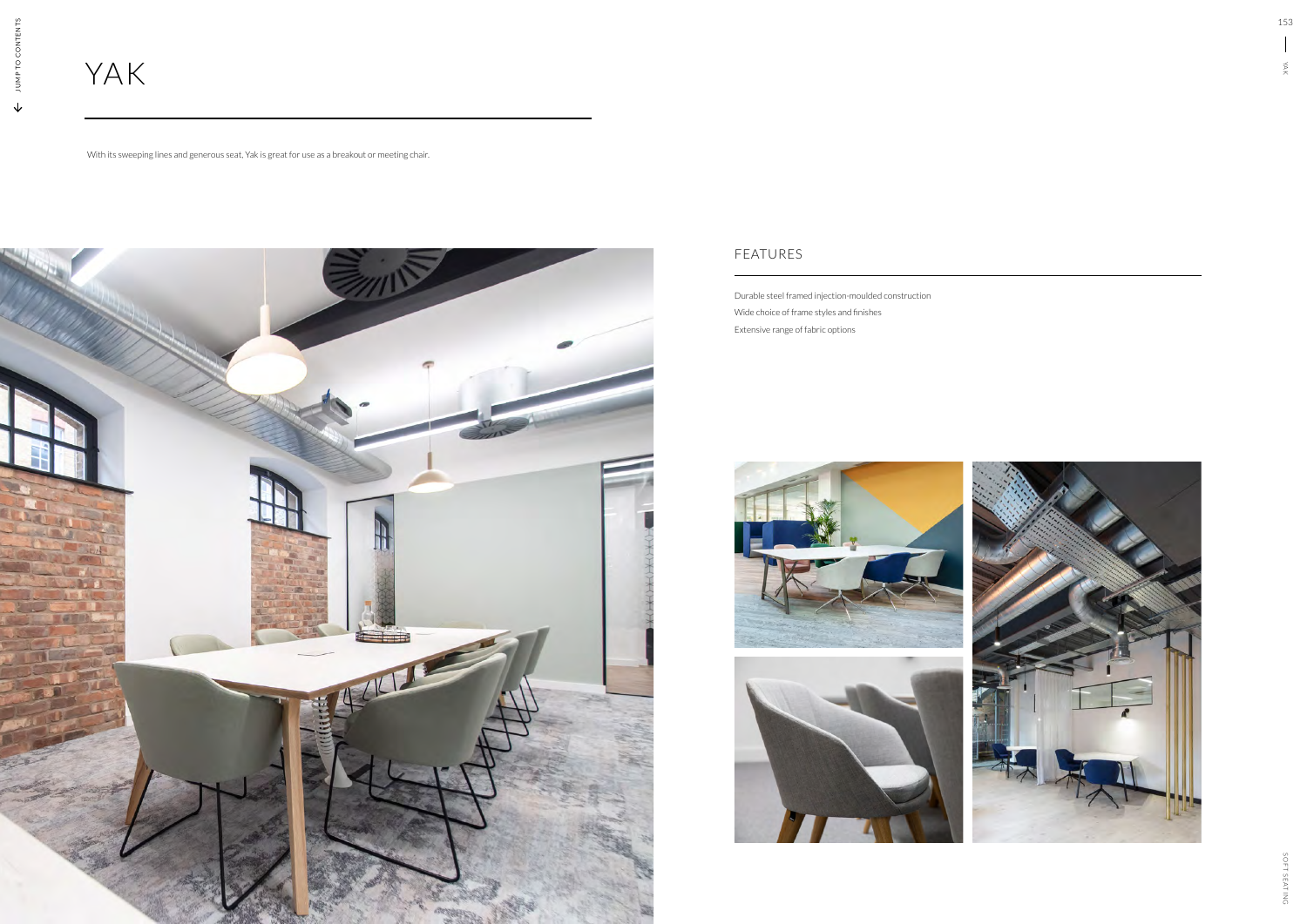# YAK

With its sweeping lines and generous seat, Yak is great for use as a breakout or meeting chair.



Durable steel framed injection-moulded construction Wide choice of frame styles and finishes Extensive range of fabric options



## FEATURES